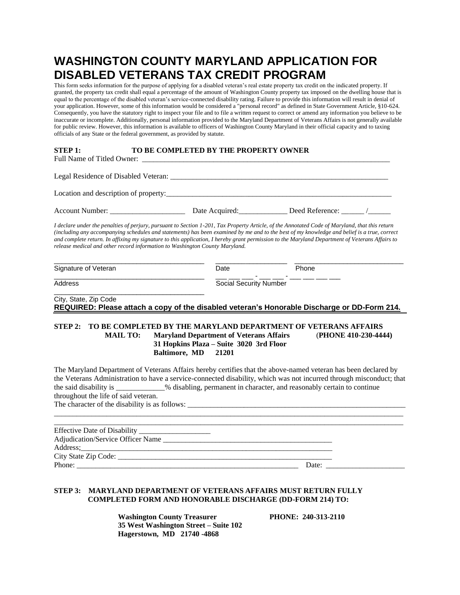## **WASHINGTON COUNTY MARYLAND APPLICATION FOR DISABLED VETERANS TAX CREDIT PROGRAM**

This form seeks information for the purpose of applying for a disabled veteran's real estate property tax credit on the indicated property. If granted, the property tax credit shall equal a percentage of the amount of Washington County property tax imposed on the dwelling house that is equal to the percentage of the disabled veteran's service-connected disability rating. Failure to provide this information will result in denial of your application. However, some of this information would be considered a "personal record" as defined in State Government Article, §10-624. Consequently, you have the statutory right to inspect your file and to file a written request to correct or amend any information you believe to be inaccurate or incomplete. Additionally, personal information provided to the Maryland Department of Veterans Affairs is not generally available for public review. However, this information is available to officers of Washington County Maryland in their official capacity and to taxing officials of any State or the federal government, as provided by statute.

#### **STEP 1: TO BE COMPLETED BY THE PROPERTY OWNER**

| Location and description of property: |                |                 |
|---------------------------------------|----------------|-----------------|
| <b>Account Number:</b>                | Date Acquired: | Deed Reference: |

*I declare under the penalties of perjury, pursuant to Section 1-201, Tax Property Article, of the Annotated Code of Maryland, that this return (including any accompanying schedules and statements) has been examined by me and to the best of my knowledge and belief is a true, correct and complete return. In affixing my signature to this application, I hereby grant permission to the Maryland Department of Veterans Affairs to release medical and other record information to Washington County Maryland.*

| Signature of Veteran                       | Date | Phone                         |  |  |
|--------------------------------------------|------|-------------------------------|--|--|
| Address                                    | -    | <b>Social Security Number</b> |  |  |
| City, State, Zip Code<br>_ _ _._ _ _ _ _ . | .    | __                            |  |  |

### **REQUIRED: Please attach a copy of the disabled veteran's Honorable Discharge or DD-Form 214.**

#### **STEP 2: TO BE COMPLETED BY THE MARYLAND DEPARTMENT OF VETERANS AFFAIRS MAIL TO: Maryland Department of Veterans Affairs** (**PHONE 410-230-4444) 31 Hopkins Plaza – Suite 3020 3rd Floor Baltimore, MD 21201**

The Maryland Department of Veterans Affairs hereby certifies that the above-named veteran has been declared by the Veterans Administration to have a service-connected disability, which was not incurred through misconduct; that the said disability is \_\_\_\_\_\_\_\_\_\_\_\_\_% disabling, permanent in character, and reasonably certain to continue throughout the life of said veteran. The character of the disability is as follows:

| Address; 2008. The contract of the contract of the contract of the contract of the contract of the contract of the contract of the contract of the contract of the contract of the contract of the contract of the contract of |       |  |
|--------------------------------------------------------------------------------------------------------------------------------------------------------------------------------------------------------------------------------|-------|--|
|                                                                                                                                                                                                                                |       |  |
| Phone:                                                                                                                                                                                                                         | Date: |  |

 $\_$  ,  $\_$  ,  $\_$  ,  $\_$  ,  $\_$  ,  $\_$  ,  $\_$  ,  $\_$  ,  $\_$  ,  $\_$  ,  $\_$  ,  $\_$  ,  $\_$  ,  $\_$  ,  $\_$  ,  $\_$  ,  $\_$  ,  $\_$  ,  $\_$  ,  $\_$  ,  $\_$  ,  $\_$  ,  $\_$  ,  $\_$  ,  $\_$  ,  $\_$  ,  $\_$  ,  $\_$  ,  $\_$  ,  $\_$  ,  $\_$  ,  $\_$  ,  $\_$  ,  $\_$  ,  $\_$  ,  $\_$  ,  $\_$  ,

#### **STEP 3: MARYLAND DEPARTMENT OF VETERANS AFFAIRS MUST RETURN FULLY COMPLETED FORM AND HONORABLE DISCHARGE (DD-FORM 214) TO:**

 **Washington County Treasurer PHONE: 240-313-2110 35 West Washington Street – Suite 102 Hagerstown, MD 21740 -4868**